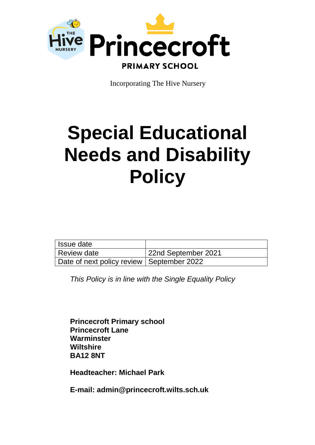

Incorporating The Hive Nursery

# **Special Educational Needs and Disability Policy**

| l Issue date                                |                     |
|---------------------------------------------|---------------------|
| Review date                                 | 22nd September 2021 |
| Date of next policy review   September 2022 |                     |

*This Policy is in line with the Single Equality Policy*

**Princecroft Primary school Princecroft Lane Warminster Wiltshire BA12 8NT**

**Headteacher: Michael Park**

**E-mail: admin@princecroft.wilts.sch.uk**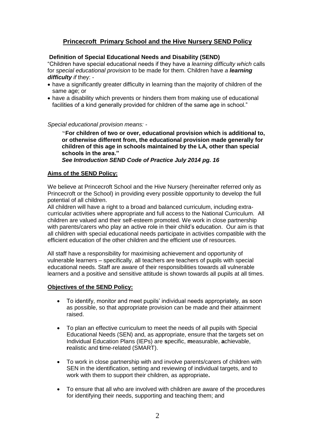# **Princecroft Primary School and the Hive Nursery SEND Policy**

# **Definition of Special Educational Needs and Disability (SEND)**

"Children have special educational needs if they have a *learning difficulty which* calls for *special educational provision* to be made for them. Children have *a learning difficulty if* they: -

- have a significantly greater difficulty in learning than the majority of children of the same age; or
- have a disability which prevents or hinders them from making use of educational facilities of a kind generally provided for children of the same age in school."

*Special educational provision means: -*

"**For children of two or over, educational provision which is additional to, or otherwise different from, the educational provision made generally for children of this age in schools maintained by the LA, other than special schools in the area."**

*See Introduction SEND Code of Practice July 2014 pg. 16*

## **Aims of the SEND Policy:**

We believe at Princecroft School and the Hive Nursery (hereinafter referred only as Princecroft or the School) in providing every possible opportunity to develop the full potential of all children.

All children will have a right to a broad and balanced curriculum, including extracurricular activities where appropriate and full access to the National Curriculum. All children are valued and their self-esteem promoted. We work in close partnership with parents/carers who play an active role in their child's education. Our aim is that all children with special educational needs participate in activities compatible with the efficient education of the other children and the efficient use of resources.

All staff have a responsibility for maximising achievement and opportunity of vulnerable learners – specifically, all teachers are teachers of pupils with special educational needs. Staff are aware of their responsibilities towards all vulnerable learners and a positive and sensitive attitude is shown towards all pupils at all times.

## **Objectives of the SEND Policy:**

- To identify, monitor and meet pupils' individual needs appropriately, as soon as possible, so that appropriate provision can be made and their attainment raised.
- To plan an effective curriculum to meet the needs of all pupils with Special Educational Needs (SEN) and, as appropriate, ensure that the targets set on Individual Education Plans (IEPs) are **s**pecific, **m**easurable, **a**chievable, **r**ealistic and **t**ime-related (SMART).
- To work in close partnership with and involve parents/carers of children with SEN in the identification, setting and reviewing of individual targets, and to work with them to support their children, as appropriate**.**
- To ensure that all who are involved with children are aware of the procedures for identifying their needs, supporting and teaching them; and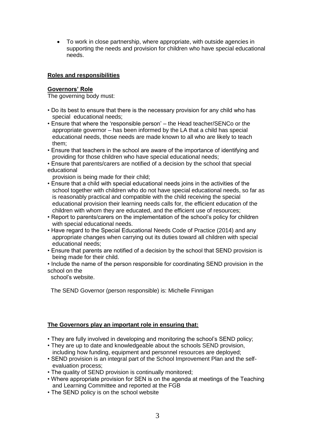To work in close partnership, where appropriate, with outside agencies in supporting the needs and provision for children who have special educational needs.

## **Roles and responsibilities**

# **Governors' Role**

The governing body must:

- Do its best to ensure that there is the necessary provision for any child who has special educational needs;
- Ensure that where the 'responsible person' the Head teacher/SENCo or the appropriate governor – has been informed by the LA that a child has special educational needs, those needs are made known to all who are likely to teach them;
- Ensure that teachers in the school are aware of the importance of identifying and providing for those children who have special educational needs;
- Ensure that parents/carers are notified of a decision by the school that special educational

provision is being made for their child;

- Ensure that a child with special educational needs joins in the activities of the school together with children who do not have special educational needs, so far as is reasonably practical and compatible with the child receiving the special educational provision their learning needs calls for, the efficient education of the children with whom they are educated, and the efficient use of resources;
- Report to parents/carers on the implementation of the school's policy for children with special educational needs.
- Have regard to the Special Educational Needs Code of Practice (2014) and any appropriate changes when carrying out its duties toward all children with special educational needs;
- Ensure that parents are notified of a decision by the school that SEND provision is being made for their child.
- Include the name of the person responsible for coordinating SEND provision in the school on the

school's website.

The SEND Governor (person responsible) is: Michelle Finnigan

# **The Governors play an important role in ensuring that:**

- They are fully involved in developing and monitoring the school's SEND policy;
- They are up to date and knowledgeable about the schools SEND provision, including how funding, equipment and personnel resources are deployed;
- SEND provision is an integral part of the School Improvement Plan and the self evaluation process;
- The quality of SEND provision is continually monitored;
- Where appropriate provision for SEN is on the agenda at meetings of the Teaching and Learning Committee and reported at the FGB
- The SEND policy is on the school website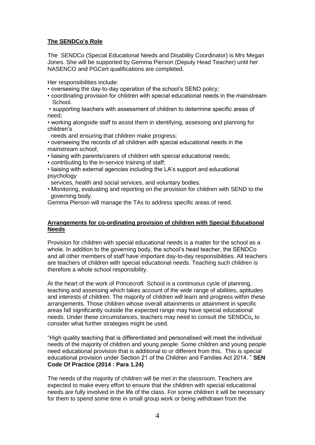# **The SENDCo's Role**

The SENDCo (Special Educational Needs and Disability Coordinator) is Mrs Megan Jones. She will be supported by Gemma Pierson (Deputy Head Teacher) until her NASENCO and PGCert qualifications are completed.

Her responsibilities include:

- overseeing the day-to-day operation of the school's SEND policy;
- coordinating provision for children with special educational needs in the mainstream School.

• supporting teachers with assessment of children to determine specific areas of need;

• working alongside staff to assist them in identifying, assessing and planning for children's

needs and ensuring that children make progress;

• overseeing the records of all children with special educational needs in the mainstream school;

- liaising with parents/carers of children with special educational needs;
- contributing to the in-service training of staff;
- liaising with external agencies including the LA's support and educational psychology

services, health and social services, and voluntary bodies.

• Monitoring, evaluating and reporting on the provision for children with SEND to the governing body.

Gemma Pierson will manage the TAs to address specific areas of need.

## **Arrangements for co-ordinating provision of children with Special Educational Needs**

Provision for children with special educational needs is a matter for the school as a whole. In addition to the governing body, the school's head teacher, the SENDCo and all other members of staff have important day-to-day responsibilities. All teachers are teachers of children with special educational needs. Teaching such children is therefore a whole school responsibility.

At the heart of the work of Princecroft School is a continuous cycle of planning, teaching and assessing which takes account of the wide range of abilities, aptitudes and interests of children. The majority of children will learn and progress within these arrangements. Those children whose overall attainments or attainment in specific areas fall significantly outside the expected range may have special educational needs. Under these circumstances, teachers may need to consult the SENDCo**,** to consider what further strategies might be used.

"High quality teaching that is differentiated and personalised will meet the individual needs of the majority of children and young people. Some children and young people need educational provision that is additional to or different from this. This is special educational provision under Section 21 of the Children and Families Act 2014. " **SEN Code Of Practice (2014 : Para 1.24)**

The needs of the majority of children will be met in the classroom. Teachers are expected to make every effort to ensure that the children with special educational needs are fully involved in the life of the class. For some children it will be necessary for them to spend some time in small group work or being withdrawn from the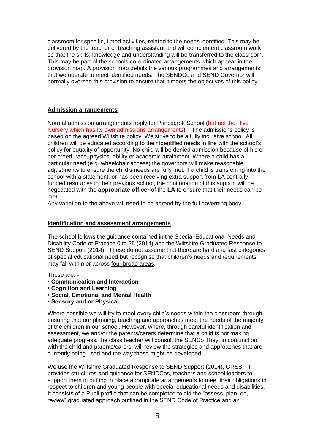classroom for specific, timed activities, related to the needs identified. This may be delivered by the teacher or teaching assistant and will complement classroom work so that the skills, knowledge and understanding will be transferred to the classroom. This may be part of the schools co-ordinated arrangements which appear in the provision map. A provision map details the various programmes and arrangements that we operate to meet identified needs. The SENDCo and SEND Governor will normally oversee this provision to ensure that it meets the objectives of this policy.

#### **Admission arrangements**

Normal admission arrangements apply for Princecroft School (but not the Hive Nursery which has its own admissions arrangements). The admissions policy is based on the agreed Wiltshire policy. We strive to be a fully inclusive school. All children will be educated according to their identified needs in line with the school's policy for equality of opportunity. No child will be denied admission because of his or her creed, race, physical ability or academic attainment. Where a child has a particular need (e.g. wheelchair access) the governors will make reasonable adjustments to ensure the child's needs are fully met**.** If a child is transferring into the school with a statement, or has been receiving extra support from LA centrally funded resources in their previous school, the continuation of this support will be negotiated with the **appropriate officer** of the **LA** to ensure that their needs can be met.

Any variation to the above will need to be agreed by the full governing body.

#### **Identification and assessment arrangements**

The school follows the guidance contained in the Special Educational Needs and Disability Code of Practice 0 to 25 (2014) and the Wiltshire Graduated Response to SEND Support (2014). These do not assume that there are hard and fast categories of special educational need but recognise that children's needs and requirements may fall within or across four broad areas.

These are: -

- **Communication and Interaction**
- **Cognition and Learning**
- **Social, Emotional and Mental Health**
- **Sensory and or Physical**

Where possible we will try to meet every child's needs within the classroom through ensuring that our planning, teaching and approaches meet the needs of the majority of the children in our school. However, where, through careful identification and assessment, we and/or the parents/carers determine that a child is not making adequate progress, the class teacher will consult the SENCo They, in conjunction with the child and parents/carers, will review the strategies and approaches that are currently being used and the way these might be developed.

We use the Wiltshire Graduated Response to SEND Support (2014), GRSS. It provides structures and guidance for SENDCos, teachers and school leaders to support them in putting in place appropriate arrangements to meet their obligations in respect to children and young people with special educational needs and disabilities. It consists of a Pupil profile that can be completed to aid the "assess, plan, do, review" graduated approach outlined in the SEND Code of Practice and an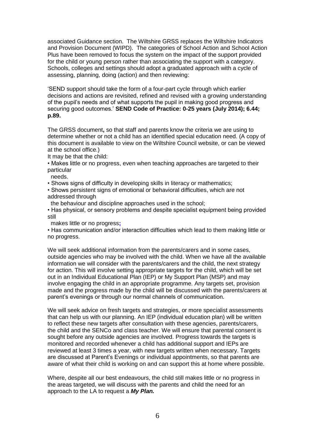associated Guidance section. The Wiltshire GRSS replaces the Wiltshire Indicators and Provision Document (WIPD). The categories of School Action and School Action Plus have been removed to focus the system on the impact of the support provided for the child or young person rather than associating the support with a category. Schools, colleges and settings should adopt a graduated approach with a cycle of assessing, planning, doing (action) and then reviewing:

'SEND support should take the form of a four-part cycle through which earlier decisions and actions are revisited, refined and revised with a growing understanding of the pupil's needs and of what supports the pupil in making good progress and securing good outcomes.' **SEND Code of Practice: 0-25 years (July 2014); 6.44; p.89.**

The GRSS document**,** so that staff and parents know the criteria we are using to determine whether or not a child has an identified special education need. (A copy of this document is available to view on the Wiltshire Council website, or can be viewed at the school office.)

It may be that the child:

• Makes little or no progress, even when teaching approaches are targeted to their particular

needs.

• Shows signs of difficulty in developing skills in literacy or mathematics;

- Shows persistent signs of emotional or behavioral difficulties, which are not addressed through
- the behaviour and discipline approaches used in the school;

• Has physical, or sensory problems and despite specialist equipment being provided still

makes little or no progress**;**

• Has communication and/or interaction difficulties which lead to them making little or no progress.

We will seek additional information from the parents/carers and in some cases, outside agencies who may be involved with the child. When we have all the available information we will consider with the parents/carers and the child, the next strategy for action. This will involve setting appropriate targets for the child, which will be set out in an Individual Educational Plan (IEP) or My Support Plan (MSP) and may involve engaging the child in an appropriate programme. Any targets set, provision made and the progress made by the child will be discussed with the parents/carers at parent's evenings or through our normal channels of communication.

We will seek advice on fresh targets and strategies, or more specialist assessments that can help us with our planning. An IEP (individual education plan) will be written to reflect these new targets after consultation with these agencies, parents/carers, the child and the SENCo and class teacher. We will ensure that parental consent is sought before any outside agencies are involved. Progress towards the targets is monitored and recorded whenever a child has additional support and IEPs are reviewed at least 3 times a year, with new targets written when necessary. Targets are discussed at Parent's Evenings or individual appointments, so that parents are aware of what their child is working on and can support this at home where possible.

Where, despite all our best endeavours, the child still makes little or no progress in the areas targeted, we will discuss with the parents and child the need for an approach to the LA to request a *My Plan.*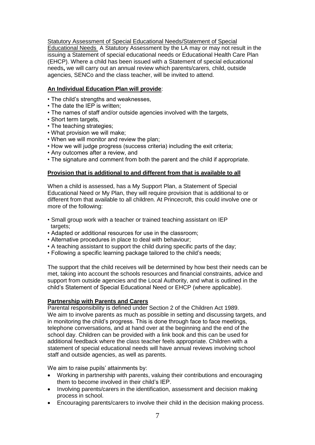Statutory Assessment of Special Educational Needs/Statement of Special Educational Needs A Statutory Assessment by the LA may or may not result in the issuing a Statement of special educational needs or Educational Health Care Plan (EHCP). Where a child has been issued with a Statement of special educational needs**,** we will carry out an annual review which parents/carers, child, outside agencies, SENCo and the class teacher, will be invited to attend.

# **An Individual Education Plan will provide**:

- The child's strengths and weaknesses,
- The date the IEP is written;
- The names of staff and/or outside agencies involved with the targets,
- Short term targets,
- The teaching strategies:
- What provision we will make;
- When we will monitor and review the plan;
- How we will judge progress (success criteria) including the exit criteria;
- Any outcomes after a review, and
- The signature and comment from both the parent and the child if appropriate.

#### **Provision that is additional to and different from that is available to all**

When a child is assessed, has a My Support Plan, a Statement of Special Educational Need or My Plan, they will require provision that is additional to or different from that available to all children. At Princecroft, this could involve one or more of the following:

- Small group work with a teacher or trained teaching assistant on IEP targets:
- Adapted or additional resources for use in the classroom;
- Alternative procedures in place to deal with behaviour;
- A teaching assistant to support the child during specific parts of the day;
- Following a specific learning package tailored to the child's needs;

The support that the child receives will be determined by how best their needs can be met, taking into account the schools resources and financial constraints, advice and support from outside agencies and the Local Authority, and what is outlined in the child's Statement of Special Educational Need or EHCP (where applicable).

#### **Partnership with Parents and Carers**

Parental responsibility is defined under Section 2 of the Children Act 1989. We aim to involve parents as much as possible in setting and discussing targets, and in monitoring the child's progress. This is done through face to face meetings, telephone conversations, and at hand over at the beginning and the end of the school day. Children can be provided with a link book and this can be used for additional feedback where the class teacher feels appropriate. Children with a statement of special educational needs will have annual reviews involving school staff and outside agencies, as well as parents.

We aim to raise pupils' attainments by:

- Working in partnership with parents, valuing their contributions and encouraging them to become involved in their child's IEP.
- Involving parents/carers in the identification, assessment and decision making process in school.
- Encouraging parents/carers to involve their child in the decision making process.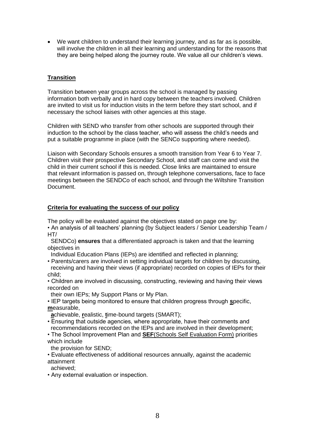We want children to understand their learning journey, and as far as is possible, will involve the children in all their learning and understanding for the reasons that they are being helped along the journey route. We value all our children's views.

# **Transition**

Transition between year groups across the school is managed by passing information both verbally and in hard copy between the teachers involved. Children are invited to visit us for induction visits in the term before they start school, and if necessary the school liaises with other agencies at this stage.

Children with SEND who transfer from other schools are supported through their induction to the school by the class teacher, who will assess the child's needs and put a suitable programme in place (with the SENCo supporting where needed).

Liaison with Secondary Schools ensures a smooth transition from Year 6 to Year 7. Children visit their prospective Secondary School, and staff can come and visit the child in their current school if this is needed. Close links are maintained to ensure that relevant information is passed on, through telephone conversations, face to face meetings between the SENDCo of each school, and through the Wiltshire Transition Document.

#### **Criteria for evaluating the success of our policy**

The policy will be evaluated against the objectives stated on page one by:

- An analysis of all teachers' planning (by Subject leaders / Senior Leadership Team /  $HT/$
- SENDCo) **ensures** that a differentiated approach is taken and that the learning objectives in

Individual Education Plans (IEPs) are identified and reflected in planning;

- Parents/carers are involved in setting individual targets for children by discussing, receiving and having their views (if appropriate) recorded on copies of IEPs for their child;
- Children are involved in discussing, constructing, reviewing and having their views recorded on

their own IEPs; My Support Plans or My Plan.

• IEP targets being monitored to ensure that children progress through **s**pecific, **m**easurable,

**a**chievable, **r**ealistic, **t**ime-bound targets (SMART);

- Ensuring that outside agencies, where appropriate, have their comments and recommendations recorded on the IEPs and are involved in their development;
- The School Improvement Plan and **SEF**(Schools Self Evaluation Form) priorities which include

the provision for SEND;

• Evaluate effectiveness of additional resources annually, against the academic attainment

achieved;

• Any external evaluation or inspection.